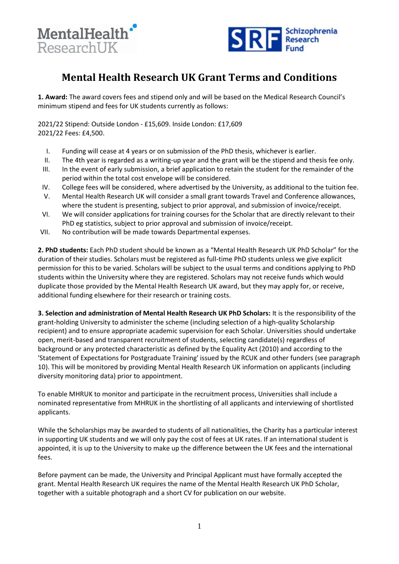



## **Mental Health Research UK Grant Terms and Conditions**

**1. Award:** The award covers fees and stipend only and will be based on the Medical Research Council's minimum stipend and fees for UK students currently as follows:

2021/22 Stipend: Outside London - £15,609. Inside London: £17,609 2021/22 Fees: £4,500.

- I. Funding will cease at 4 years or on submission of the PhD thesis, whichever is earlier.
- II. The 4th year is regarded as a writing-up year and the grant will be the stipend and thesis fee only.
- III. In the event of early submission, a brief application to retain the student for the remainder of the period within the total cost envelope will be considered.
- IV. College fees will be considered, where advertised by the University, as additional to the tuition fee.
- V. Mental Health Research UK will consider a small grant towards Travel and Conference allowances, where the student is presenting, subject to prior approval, and submission of invoice/receipt.
- VI. We will consider applications for training courses for the Scholar that are directly relevant to their PhD eg statistics, subject to prior approval and submission of invoice/receipt.
- VII. No contribution will be made towards Departmental expenses.

**2. PhD students:** Each PhD student should be known as a "Mental Health Research UK PhD Scholar" for the duration of their studies. Scholars must be registered as full-time PhD students unless we give explicit permission for this to be varied. Scholars will be subject to the usual terms and conditions applying to PhD students within the University where they are registered. Scholars may not receive funds which would duplicate those provided by the Mental Health Research UK award, but they may apply for, or receive, additional funding elsewhere for their research or training costs.

**3. Selection and administration of Mental Health Research UK PhD Scholars:** It is the responsibility of the grant-holding University to administer the scheme (including selection of a high-quality Scholarship recipient) and to ensure appropriate academic supervision for each Scholar. Universities should undertake open, merit-based and transparent recruitment of students, selecting candidate(s) regardless of background or any protected characteristic as defined by the Equality Act (2010) and according to the 'Statement of Expectations for Postgraduate Training' issued by the RCUK and other funders (see paragraph 10). This will be monitored by providing Mental Health Research UK information on applicants (including diversity monitoring data) prior to appointment.

To enable MHRUK to monitor and participate in the recruitment process, Universities shall include a nominated representative from MHRUK in the shortlisting of all applicants and interviewing of shortlisted applicants.

While the Scholarships may be awarded to students of all nationalities, the Charity has a particular interest in supporting UK students and we will only pay the cost of fees at UK rates. If an international student is appointed, it is up to the University to make up the difference between the UK fees and the international fees.

Before payment can be made, the University and Principal Applicant must have formally accepted the grant. Mental Health Research UK requires the name of the Mental Health Research UK PhD Scholar, together with a suitable photograph and a short CV for publication on our website.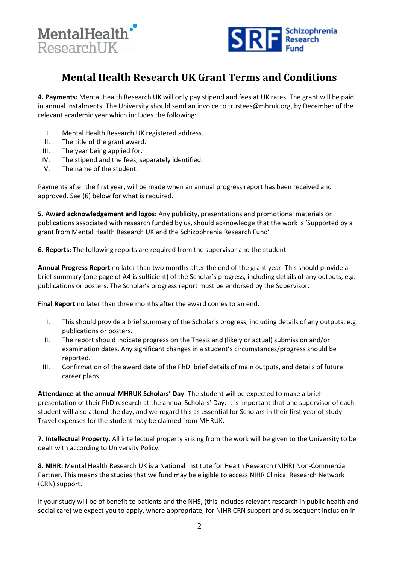



## **Mental Health Research UK Grant Terms and Conditions**

**4. Payments:** Mental Health Research UK will only pay stipend and fees at UK rates. The grant will be paid in annual instalments. The University should send an invoice to trustees@mhruk.org, by December of the relevant academic year which includes the following:

- I. Mental Health Research UK registered address.
- II. The title of the grant award.
- III. The year being applied for.
- IV. The stipend and the fees, separately identified.
- V. The name of the student.

Payments after the first year, will be made when an annual progress report has been received and approved. See (6) below for what is required.

**5. Award acknowledgement and logos:** Any publicity, presentations and promotional materials or publications associated with research funded by us, should acknowledge that the work is 'Supported by a grant from Mental Health Research UK and the Schizophrenia Research Fund'

**6. Reports:** The following reports are required from the supervisor and the student

**Annual Progress Report** no later than two months after the end of the grant year. This should provide a brief summary (one page of A4 is sufficient) of the Scholar's progress, including details of any outputs, e.g. publications or posters. The Scholar's progress report must be endorsed by the Supervisor.

**Final Report** no later than three months after the award comes to an end.

- I. This should provide a brief summary of the Scholar's progress, including details of any outputs, e.g. publications or posters.
- II. The report should indicate progress on the Thesis and (likely or actual) submission and/or examination dates. Any significant changes in a student's circumstances/progress should be reported.
- III. Confirmation of the award date of the PhD, brief details of main outputs, and details of future career plans.

**Attendance at the annual MHRUK Scholars' Day**. The student will be expected to make a brief presentation of their PhD research at the annual Scholars' Day. It is important that one supervisor of each student will also attend the day, and we regard this as essential for Scholars in their first year of study. Travel expenses for the student may be claimed from MHRUK.

**7. Intellectual Property.** All intellectual property arising from the work will be given to the University to be dealt with according to University Policy.

**8. NIHR:** Mental Health Research UK is a National Institute for Health Research (NIHR) Non-Commercial Partner. This means the studies that we fund may be eligible to access NIHR Clinical Research Network (CRN) support.

If your study will be of benefit to patients and the NHS, (this includes relevant research in public health and social care) we expect you to apply, where appropriate, for NIHR CRN support and subsequent inclusion in